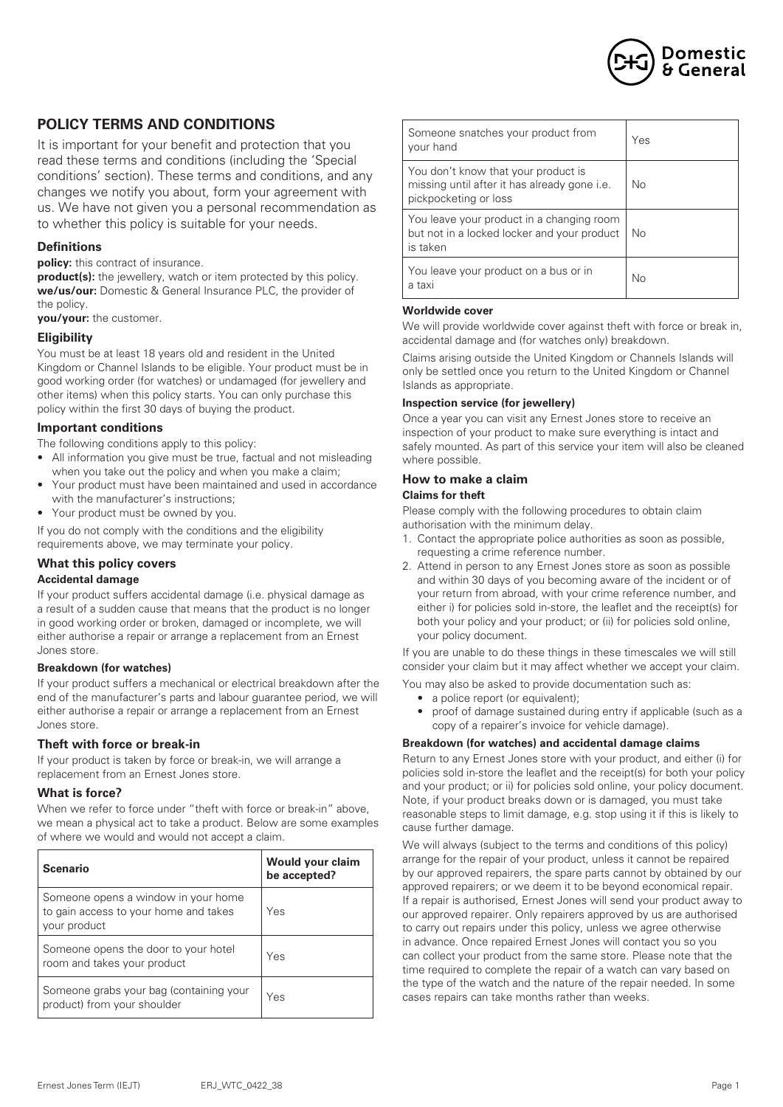

# **POLICY TERMS AND CONDITIONS**

It is important for your benefit and protection that you read these terms and conditions (including the 'Special conditions' section). These terms and conditions, and any changes we notify you about, form your agreement with us. We have not given you a personal recommendation as to whether this policy is suitable for your needs.

### **Definitions**

**policy:** this contract of insurance.

**product(s):** the jewellery, watch or item protected by this policy. **we/us/our:** Domestic & General Insurance PLC, the provider of the policy.

**you/your:** the customer.

#### **Eligibility**

You must be at least 18 years old and resident in the United Kingdom or Channel Islands to be eligible. Your product must be in good working order (for watches) or undamaged (for jewellery and other items) when this policy starts. You can only purchase this policy within the first 30 days of buying the product.

### **Important conditions**

The following conditions apply to this policy:

- All information you give must be true, factual and not misleading when you take out the policy and when you make a claim:
- Your product must have been maintained and used in accordance with the manufacturer's instructions;
- Your product must be owned by you.

If you do not comply with the conditions and the eligibility requirements above, we may terminate your policy.

#### **What this policy covers**

#### **Accidental damage**

If your product suffers accidental damage (i.e. physical damage as a result of a sudden cause that means that the product is no longer in good working order or broken, damaged or incomplete, we will either authorise a repair or arrange a replacement from an Ernest Jones store.

#### **Breakdown (for watches)**

If your product suffers a mechanical or electrical breakdown after the end of the manufacturer's parts and labour guarantee period, we will either authorise a repair or arrange a replacement from an Ernest Jones store.

#### **Theft with force or break-in**

If your product is taken by force or break-in, we will arrange a replacement from an Ernest Jones store.

#### **What is force?**

When we refer to force under "theft with force or break-in" above, we mean a physical act to take a product. Below are some examples of where we would and would not accept a claim.

| <b>Scenario</b>                                                                              | <b>Would your claim</b><br>be accepted? |
|----------------------------------------------------------------------------------------------|-----------------------------------------|
| Someone opens a window in your home<br>to gain access to your home and takes<br>your product | Yes                                     |
| Someone opens the door to your hotel<br>room and takes your product                          | Yes                                     |
| Someone grabs your bag (containing your<br>product) from your shoulder                       | Yes                                     |

| Someone snatches your product from<br>your hand                                                              | Yes |
|--------------------------------------------------------------------------------------------------------------|-----|
| You don't know that your product is<br>missing until after it has already gone i.e.<br>pickpocketing or loss | Nο  |
| You leave your product in a changing room<br>but not in a locked locker and your product<br>is taken         | Nο  |
| You leave your product on a bus or in<br>a taxi                                                              | Nο  |

#### **Worldwide cover**

We will provide worldwide cover against theft with force or break in, accidental damage and (for watches only) breakdown.

Claims arising outside the United Kingdom or Channels Islands will only be settled once you return to the United Kingdom or Channel Islands as appropriate.

#### **Inspection service (for jewellery)**

Once a year you can visit any Ernest Jones store to receive an inspection of your product to make sure everything is intact and safely mounted. As part of this service your item will also be cleaned where possible.

#### **How to make a claim Claims for theft**

Please comply with the following procedures to obtain claim authorisation with the minimum delay.

- 1. Contact the appropriate police authorities as soon as possible, requesting a crime reference number.
- 2. Attend in person to any Ernest Jones store as soon as possible and within 30 days of you becoming aware of the incident or of your return from abroad, with your crime reference number, and either i) for policies sold in-store, the leaflet and the receipt(s) for both your policy and your product; or (ii) for policies sold online, your policy document.

If you are unable to do these things in these timescales we will still consider your claim but it may affect whether we accept your claim.

You may also be asked to provide documentation such as:

- a police report (or equivalent);
- proof of damage sustained during entry if applicable (such as a copy of a repairer's invoice for vehicle damage).

#### **Breakdown (for watches) and accidental damage claims**

Return to any Ernest Jones store with your product, and either (i) for policies sold in-store the leaflet and the receipt(s) for both your policy and your product; or ii) for policies sold online, your policy document. Note, if your product breaks down or is damaged, you must take reasonable steps to limit damage, e.g. stop using it if this is likely to cause further damage.

We will always (subject to the terms and conditions of this policy) arrange for the repair of your product, unless it cannot be repaired by our approved repairers, the spare parts cannot by obtained by our approved repairers; or we deem it to be beyond economical repair. If a repair is authorised, Ernest Jones will send your product away to our approved repairer. Only repairers approved by us are authorised to carry out repairs under this policy, unless we agree otherwise in advance. Once repaired Ernest Jones will contact you so you can collect your product from the same store. Please note that the time required to complete the repair of a watch can vary based on the type of the watch and the nature of the repair needed. In some cases repairs can take months rather than weeks.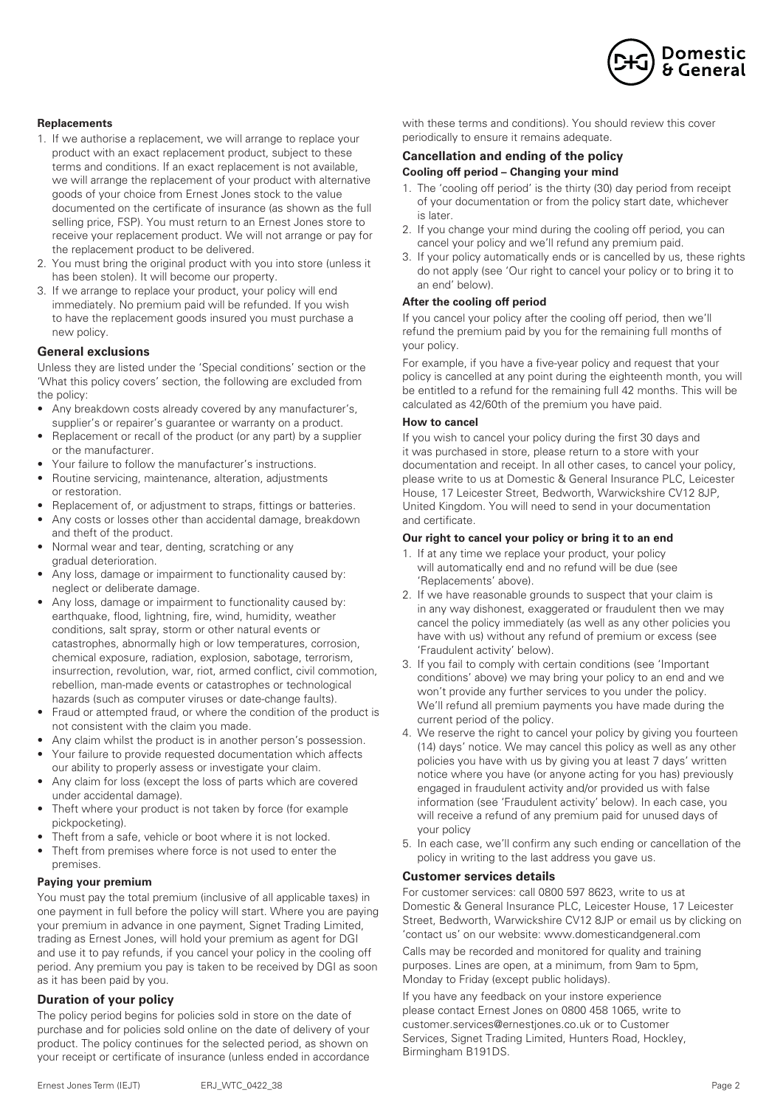

### **Replacements**

- 1. If we authorise a replacement, we will arrange to replace your product with an exact replacement product, subject to these terms and conditions. If an exact replacement is not available, we will arrange the replacement of your product with alternative goods of your choice from Ernest Jones stock to the value documented on the certificate of insurance (as shown as the full selling price, FSP). You must return to an Ernest Jones store to receive your replacement product. We will not arrange or pay for the replacement product to be delivered.
- 2. You must bring the original product with you into store (unless it has been stolen). It will become our property.
- 3. If we arrange to replace your product, your policy will end immediately. No premium paid will be refunded. If you wish to have the replacement goods insured you must purchase a new policy.

### **General exclusions**

Unless they are listed under the 'Special conditions' section or the 'What this policy covers' section, the following are excluded from the policy:

- Any breakdown costs already covered by any manufacturer's, supplier's or repairer's guarantee or warranty on a product.
- Replacement or recall of the product (or any part) by a supplier or the manufacturer.
- Your failure to follow the manufacturer's instructions.
- Routine servicing, maintenance, alteration, adjustments or restoration.
- Replacement of, or adjustment to straps, fittings or batteries.
- Any costs or losses other than accidental damage, breakdown and theft of the product.
- Normal wear and tear, denting, scratching or any gradual deterioration.
- Any loss, damage or impairment to functionality caused by: neglect or deliberate damage.
- Any loss, damage or impairment to functionality caused by: earthquake, flood, lightning, fire, wind, humidity, weather conditions, salt spray, storm or other natural events or catastrophes, abnormally high or low temperatures, corrosion, chemical exposure, radiation, explosion, sabotage, terrorism, insurrection, revolution, war, riot, armed conflict, civil commotion, rebellion, man-made events or catastrophes or technological hazards (such as computer viruses or date-change faults).
- Fraud or attempted fraud, or where the condition of the product is not consistent with the claim you made.
- Any claim whilst the product is in another person's possession.
- Your failure to provide requested documentation which affects our ability to properly assess or investigate your claim.
- Any claim for loss (except the loss of parts which are covered under accidental damage).
- Theft where your product is not taken by force (for example pickpocketing).
- Theft from a safe, vehicle or boot where it is not locked.
- Theft from premises where force is not used to enter the premises.

#### **Paying your premium**

You must pay the total premium (inclusive of all applicable taxes) in one payment in full before the policy will start. Where you are paying your premium in advance in one payment, Signet Trading Limited, trading as Ernest Jones, will hold your premium as agent for DGI and use it to pay refunds, if you cancel your policy in the cooling off period. Any premium you pay is taken to be received by DGI as soon as it has been paid by you.

## **Duration of your policy**

The policy period begins for policies sold in store on the date of purchase and for policies sold online on the date of delivery of your product. The policy continues for the selected period, as shown on your receipt or certificate of insurance (unless ended in accordance with these terms and conditions). You should review this cover periodically to ensure it remains adequate.

# **Cancellation and ending of the policy**

## **Cooling off period – Changing your mind**

- 1. The 'cooling off period' is the thirty (30) day period from receipt of your documentation or from the policy start date, whichever is later.
- 2. If you change your mind during the cooling off period, you can cancel your policy and we'll refund any premium paid.
- 3. If your policy automatically ends or is cancelled by us, these rights do not apply (see 'Our right to cancel your policy or to bring it to an end' below).

#### **After the cooling off period**

If you cancel your policy after the cooling off period, then we'll refund the premium paid by you for the remaining full months of your policy.

For example, if you have a five-year policy and request that your policy is cancelled at any point during the eighteenth month, you will be entitled to a refund for the remaining full 42 months. This will be calculated as 42/60th of the premium you have paid.

#### **How to cancel**

If you wish to cancel your policy during the first 30 days and it was purchased in store, please return to a store with your documentation and receipt. In all other cases, to cancel your policy, please write to us at Domestic & General Insurance PLC, Leicester House, 17 Leicester Street, Bedworth, Warwickshire CV12 8JP, United Kingdom. You will need to send in your documentation and certificate.

#### **Our right to cancel your policy or bring it to an end**

- 1. If at any time we replace your product, your policy will automatically end and no refund will be due (see 'Replacements' above).
- 2. If we have reasonable grounds to suspect that your claim is in any way dishonest, exaggerated or fraudulent then we may cancel the policy immediately (as well as any other policies you have with us) without any refund of premium or excess (see 'Fraudulent activity' below).
- 3. If you fail to comply with certain conditions (see 'Important conditions' above) we may bring your policy to an end and we won't provide any further services to you under the policy. We'll refund all premium payments you have made during the current period of the policy.
- 4. We reserve the right to cancel your policy by giving you fourteen (14) days' notice. We may cancel this policy as well as any other policies you have with us by giving you at least 7 days' written notice where you have (or anyone acting for you has) previously engaged in fraudulent activity and/or provided us with false information (see 'Fraudulent activity' below). In each case, you will receive a refund of any premium paid for unused days of your policy
- 5. In each case, we'll confirm any such ending or cancellation of the policy in writing to the last address you gave us.

## **Customer services details**

For customer services: call 0800 597 8623, write to us at Domestic & General Insurance PLC, Leicester House, 17 Leicester Street, Bedworth, Warwickshire CV12 8JP or email us by clicking on 'contact us' on our website: www.domesticandgeneral.com

Calls may be recorded and monitored for quality and training purposes. Lines are open, at a minimum, from 9am to 5pm, Monday to Friday (except public holidays).

If you have any feedback on your instore experience please contact Ernest Jones on 0800 458 1065, write to customer.services@ernestjones.co.uk or to Customer Services, Signet Trading Limited, Hunters Road, Hockley, Birmingham B191DS.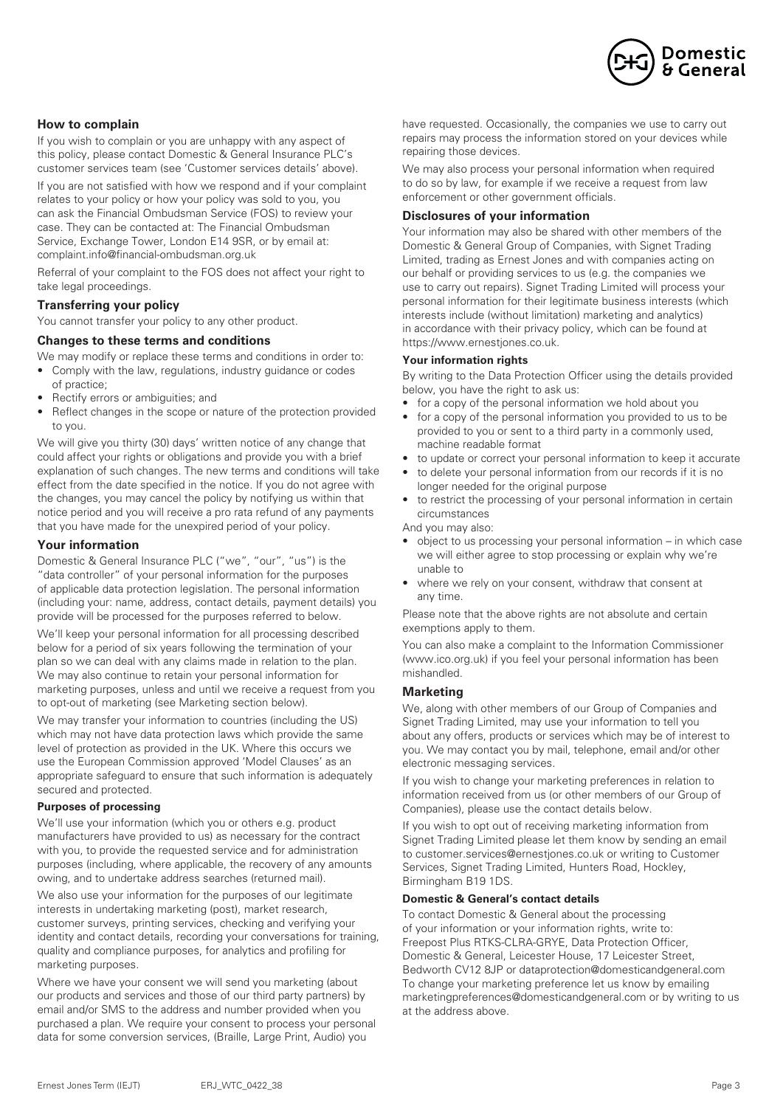

## **How to complain**

If you wish to complain or you are unhappy with any aspect of this policy, please contact Domestic & General Insurance PLC's customer services team (see 'Customer services details' above).

If you are not satisfied with how we respond and if your complaint relates to your policy or how your policy was sold to you, you can ask the Financial Ombudsman Service (FOS) to review your case. They can be contacted at: The Financial Ombudsman Service, Exchange Tower, London E14 9SR, or by email at: complaint.info@financial-ombudsman.org.uk

Referral of your complaint to the FOS does not affect your right to take legal proceedings.

## **Transferring your policy**

You cannot transfer your policy to any other product.

#### **Changes to these terms and conditions**

We may modify or replace these terms and conditions in order to:

- Comply with the law, regulations, industry guidance or codes of practice;
- Rectify errors or ambiguities; and
- Reflect changes in the scope or nature of the protection provided to you.

We will give you thirty (30) days' written notice of any change that could affect your rights or obligations and provide you with a brief explanation of such changes. The new terms and conditions will take effect from the date specified in the notice. If you do not agree with the changes, you may cancel the policy by notifying us within that notice period and you will receive a pro rata refund of any payments that you have made for the unexpired period of your policy.

### **Your information**

Domestic & General Insurance PLC ("we", "our", "us") is the "data controller" of your personal information for the purposes of applicable data protection legislation. The personal information (including your: name, address, contact details, payment details) you provide will be processed for the purposes referred to below.

We'll keep your personal information for all processing described below for a period of six years following the termination of your plan so we can deal with any claims made in relation to the plan. We may also continue to retain your personal information for marketing purposes, unless and until we receive a request from you to opt-out of marketing (see Marketing section below).

We may transfer your information to countries (including the US) which may not have data protection laws which provide the same level of protection as provided in the UK. Where this occurs we use the European Commission approved 'Model Clauses' as an appropriate safeguard to ensure that such information is adequately secured and protected.

#### **Purposes of processing**

We'll use your information (which you or others e.g. product manufacturers have provided to us) as necessary for the contract with you, to provide the requested service and for administration purposes (including, where applicable, the recovery of any amounts owing, and to undertake address searches (returned mail).

We also use your information for the purposes of our legitimate interests in undertaking marketing (post), market research, customer surveys, printing services, checking and verifying your identity and contact details, recording your conversations for training, quality and compliance purposes, for analytics and profiling for marketing purposes.

Where we have your consent we will send you marketing (about our products and services and those of our third party partners) by email and/or SMS to the address and number provided when you purchased a plan. We require your consent to process your personal data for some conversion services, (Braille, Large Print, Audio) you

have requested. Occasionally, the companies we use to carry out repairs may process the information stored on your devices while repairing those devices.

We may also process your personal information when required to do so by law, for example if we receive a request from law enforcement or other government officials.

### **Disclosures of your information**

Your information may also be shared with other members of the Domestic & General Group of Companies, with Signet Trading Limited, trading as Ernest Jones and with companies acting on our behalf or providing services to us (e.g. the companies we use to carry out repairs). Signet Trading Limited will process your personal information for their legitimate business interests (which interests include (without limitation) marketing and analytics) in accordance with their privacy policy, which can be found at https://www.ernestjones.co.uk.

#### **Your information rights**

By writing to the Data Protection Officer using the details provided below, you have the right to ask us:

- for a copy of the personal information we hold about you
- for a copy of the personal information you provided to us to be provided to you or sent to a third party in a commonly used, machine readable format
- to update or correct your personal information to keep it accurate
- to delete your personal information from our records if it is no longer needed for the original purpose
- to restrict the processing of your personal information in certain circumstances

And you may also:

- object to us processing your personal information in which case we will either agree to stop processing or explain why we're unable to
- where we rely on your consent, withdraw that consent at any time.

Please note that the above rights are not absolute and certain exemptions apply to them.

You can also make a complaint to the Information Commissioner (www.ico.org.uk) if you feel your personal information has been mishandled.

## **Marketing**

We, along with other members of our Group of Companies and Signet Trading Limited, may use your information to tell you about any offers, products or services which may be of interest to you. We may contact you by mail, telephone, email and/or other electronic messaging services.

If you wish to change your marketing preferences in relation to information received from us (or other members of our Group of Companies), please use the contact details below.

If you wish to opt out of receiving marketing information from Signet Trading Limited please let them know by sending an email to customer.services@ernestjones.co.uk or writing to Customer Services, Signet Trading Limited, Hunters Road, Hockley, Birmingham B19 1DS.

#### **Domestic & General's contact details**

To contact Domestic & General about the processing of your information or your information rights, write to: Freepost Plus RTKS-CLRA-GRYE, Data Protection Officer, Domestic & General, Leicester House, 17 Leicester Street, Bedworth CV12 8JP or dataprotection@domesticandgeneral.com To change your marketing preference let us know by emailing marketingpreferences@domesticandgeneral.com or by writing to us at the address above.